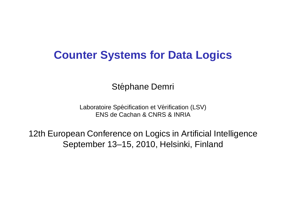## **Counter Systems for Data Logics**

Stéphane Demri

Laboratoire Spécification et Vérification (LSV) ENS de Cachan & CNRS & INRIA

12th European Conference on Logics in Artificial Intelligence September 13–15, 2010, Helsinki, Finland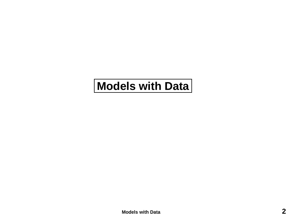# <span id="page-1-0"></span>**Models with Data**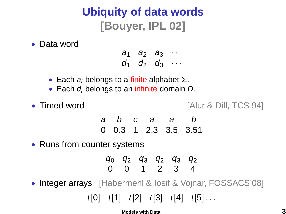# **Ubiquity of data words [Bouyer, IPL 02]**

### • Data word

 $a_1$   $a_2$   $a_3$   $\cdots$  $d_1$   $d_2$   $d_3$   $\dots$ 

- Each  $a_i$  belongs to a finite alphabet Σ.
- Each  $d_i$  belongs to an infinite domain  $D$ .
- 

• Timed word **[Alur & Dill, TCS 94]** 

a b c a a b 0 0.3 1 2.3 3.5 3.51

• Runs from counter systems

 $q_0$   $q_2$   $q_3$   $q_2$   $q_3$   $q_2$ 0 0 1 2 3 4

• Integer arrays [Habermehl & losif & Vojnar, FOSSACS'08]

 $t[0]$   $t[1]$   $t[2]$   $t[3]$   $t[4]$   $t[5]$ ...

**[Models with Data](#page-1-0) 3**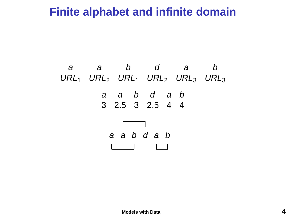## **Finite alphabet and infinite domain**

a a b d a b  $URL<sub>1</sub>$  URL<sub>2</sub> URL<sub>1</sub> URL<sub>2</sub> URL<sub>3</sub> URL<sub>3</sub> a a b d a b 3 2.5 3 2.5 4 4 a a b d a b  $\mathbf{1}$   $\mathbf{1}$   $\mathbf{1}$   $\mathbf{1}$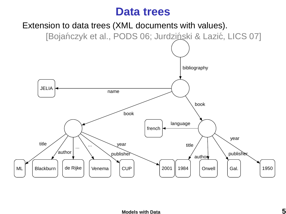## **Data trees**

Extension to data trees (XML documents with values).

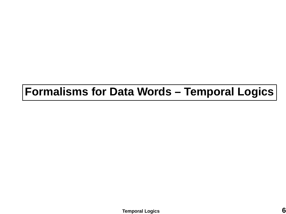# <span id="page-5-0"></span>**Formalisms for Data Words – Temporal Logics**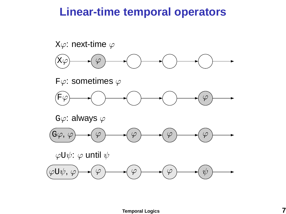## **Linear-time temporal operators**

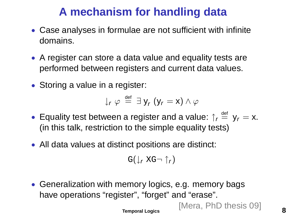# **A mechanism for handling data**

- Case analyses in formulae are not sufficient with infinite domains.
- A register can store a data value and equality tests are performed between registers and current data values.
- Storing a value in a register:

$$
\downarrow_r \varphi \stackrel{\text{def}}{=} \exists y_r (y_r = x) \wedge \varphi
$$

- Equality test between a register and a value:  $\int_{r} \frac{d\epsilon}{r} dy = x$ . (in this talk, restriction to the simple equality tests)
- All data values at distinct positions are distinct:

$$
G(\downarrow_r XG \neg \uparrow_r)
$$

• Generalization with memory logics, e.g. memory bags have operations "register", "forget" and "erase".

> [Mera, PhD thesis 09] **[Temporal Logics](#page-5-0) 8**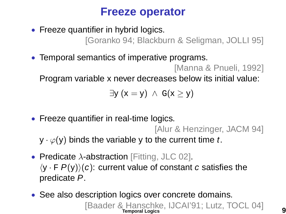## **Freeze operator**

• Freeze quantifier in hybrid logics.

[Goranko 94; Blackburn & Seligman, JOLLI 95]

• Temporal semantics of imperative programs.

[Manna & Pnueli, 1992]

Program variable x never decreases below its initial value:

$$
\exists y\ (x=y)\ \wedge\ G(x\geq y)
$$

• Freeze quantifier in real-time logics.

[Alur & Henzinger, JACM 94]

 $y \cdot \varphi(y)$  binds the variable y to the current time t.

- Predicate  $\lambda$ -abstraction [Fitting, JLC 02].  $\langle y \cdot F P(y) \rangle (c)$ : current value of constant c satisfies the predicate P.
- See also description logics over concrete domains. [Baader & Hanschke, IJCAI'91; Lutz, TOCL 04] **[Temporal Logics](#page-5-0) 9**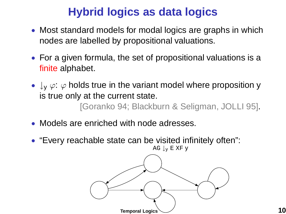# **Hybrid logics as data logics**

- Most standard models for modal logics are graphs in which nodes are labelled by propositional valuations.
- For a given formula, the set of propositional valuations is a finite alphabet.
- $\downarrow_V \varphi$ :  $\varphi$  holds true in the variant model where proposition y is true only at the current state.

[Goranko 94; Blackburn & Seligman, JOLLI 95].

- Models are enriched with node adresses.
- "Every reachable state can be visited infinitely often":

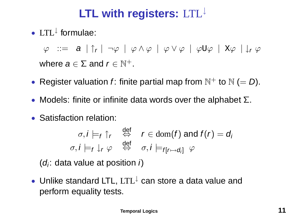# **LTL with registers:** LTL<sup>↓</sup>

• LTL<sup>↓</sup> formulae:

 $\varphi$  := a  $|\uparrow_{\mathsf{r}}|$   $\neg \varphi$   $|$   $\varphi \wedge \varphi$   $|$   $\varphi \vee \varphi$   $|$   $\varphi$ U $\varphi$   $|$  X $\varphi$   $|$   $\downarrow_{\mathsf{r}}$   $\varphi$ where  $a \in \Sigma$  and  $r \in \mathbb{N}^+$ .

- Register valuation f: finite partial map from  $\mathbb{N}^+$  to  $\mathbb{N}$  (= D).
- Models: finite or infinite data words over the alphabet  $\Sigma$ .
- Satisfaction relation:

$$
\sigma, i \models_f \uparrow_r \quad \stackrel{\text{def}}{\Leftrightarrow} \quad r \in \text{dom}(f) \text{ and } f(r) = d_i
$$
\n
$$
\sigma, i \models_f \downarrow_r \varphi \quad \stackrel{\text{def}}{\Leftrightarrow} \quad \sigma, i \models_{f[r \mapsto d_i]} \varphi
$$

 $(d_i:$  data value at position i)

• Unlike standard LTL, LTL<sup>↓</sup> can store a data value and perform equality tests.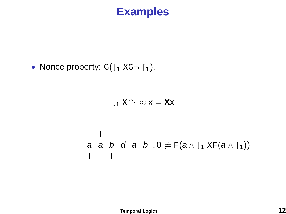## **Examples**

• Nonce property:  $G(\downarrow_1 XG \cap \uparrow_1)$ .

$$
\downarrow_1 \mathbf{X} \mathbin{\uparrow}_1 \approx \mathbf{x} = \textbf{X} \mathbf{x}
$$

$$
\begin{array}{c}\n a \quad a \quad b \quad d \quad a \quad b \quad , 0 \not\models F(a \wedge \downarrow_1 \, \text{XF}(a \wedge \uparrow_1)) \\
\hline\n \end{array}
$$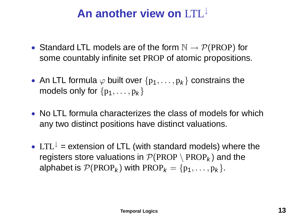# **An another view on** LTL<sup>↓</sup>

- Standard LTL models are of the form  $\mathbb{N} \to \mathcal{P}(\text{PROP})$  for some countably infinite set PROP of atomic propositions.
- An LTL formula  $\varphi$  built over  $\{p_1,\ldots,p_k\}$  constrains the models only for  $\{p_1, \ldots, p_k\}$
- No LTL formula characterizes the class of models for which any two distinct positions have distinct valuations.
- LTL<sup> $\downarrow$ </sup> = extension of LTL (with standard models) where the registers store valuations in  $\mathcal{P}(PROP \setminus PROP_k)$  and the alphabet is  $\mathcal{P}(PROP_k)$  with  $PROP_k = \{p_1, \ldots, p_k\}.$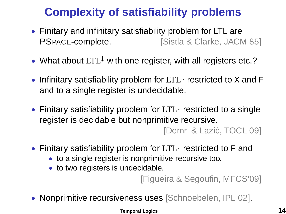# **Complexity of satisfiability problems**

- Finitary and infinitary satisfiability problem for LTL are **PSPACE-complete.** [Sistla & Clarke, JACM 85]
- What about  $LTL^{\downarrow}$  with one register, with all registers etc.?
- Infinitary satisfiability problem for  $LTL^{\downarrow}$  restricted to x and F and to a single register is undecidable.
- Finitary satisfiability problem for LTL<sup>↓</sup> restricted to a single register is decidable but nonprimitive recursive.

[Demri & Lazić, TOCL 09]

- Finitary satisfiability problem for LTL↓ restricted to F and
	- to a single register is nonprimitive recursive too.
	- to two registers is undecidable.

[Figueira & Segoufin, MFCS'09]

• Nonprimitive recursiveness uses [Schnoebelen, IPL 02].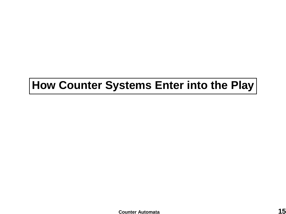# <span id="page-14-0"></span>**How Counter Systems Enter into the Play**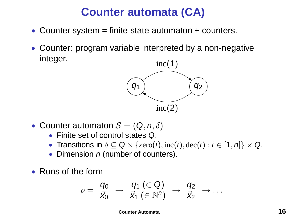# **Counter automata (CA)**

- Counter system = finite-state automaton + counters.
- Counter: program variable interpreted by a non-negative integer.



- Counter automaton  $S = (Q, n, \delta)$ 
	- Finite set of control states Q.
	- Transitions in  $\delta \subset \mathsf{Q} \times \{ \text{zero}(i), \text{inc}(i), \text{dec}(i) : i \in [1, n] \} \times \mathsf{Q}$ .
	- Dimension  $n$  (number of counters).
- Runs of the form

$$
\rho = \begin{array}{ccc} q_0 & \to & q_1 \ (\in \mathsf{Q}) \\ \vec{x}_0 & \to & \vec{x}_1 \ (\in \mathbb{N}^n) \end{array} \rightarrow \begin{array}{ccc} q_2 & \to & \ldots \end{array}
$$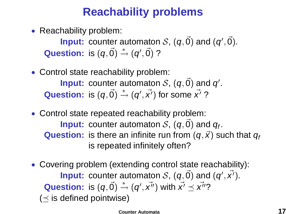# **Reachability problems**

• Reachability problem:

**Input:** counter automaton  $\mathcal{S},$   $(q, \vec{0})$  and  $(q', \vec{0})$ . **Question:** is  $(q, \vec{0}) \stackrel{*}{\rightarrow} (q', \vec{0})$  ?

## • Control state reachability problem: **Input:** counter automaton  $S$ ,  $(q, \vec{0})$  and  $q'$ . Question: is  $(q, \vec{0}) \stackrel{*}{\rightarrow} (q', \vec{x'})$  for some  $\vec{x'}$  ?

- Control state repeated reachability problem: **Input:** counter automaton  $S$ ,  $(q, \vec{0})$  and  $q_f$ . **Question:** is there an infinite run from  $(q, \vec{x})$  such that  $q_f$ is repeated infinitely often?
- Covering problem (extending control state reachability): **Input:** counter automaton S,  $(q, \vec{0})$  and  $(q', \vec{x}')$ . **Question:** is  $(q, \vec{0}) \stackrel{*}{\rightharpoonup} (q', \vec{x''})$  with  $\vec{x'} \preceq \vec{x''}$ ?  $(<$  is defined pointwise)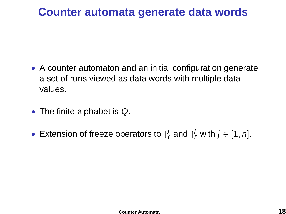## **Counter automata generate data words**

- A counter automaton and an initial configuration generate a set of runs viewed as data words with multiple data values.
- The finite alphabet is Q.
- Extension of freeze operators to  $\downarrow^j_r$  and  $\uparrow^j_r$  with  $j \in [1, n]$ .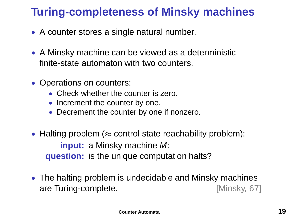# **Turing-completeness of Minsky machines**

- A counter stores a single natural number.
- A Minsky machine can be viewed as a deterministic finite-state automaton with two counters.
- Operations on counters:
	- Check whether the counter is zero.
	- Increment the counter by one.
	- Decrement the counter by one if nonzero.
- Halting problem ( $\approx$  control state reachability problem): **input:** a Minsky machine M; **question:** is the unique computation halts?
- The halting problem is undecidable and Minsky machines are Turing-complete. **Example 18 [Minsky, 67]**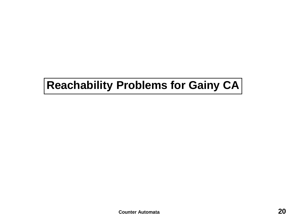# **Reachability Problems for Gainy CA**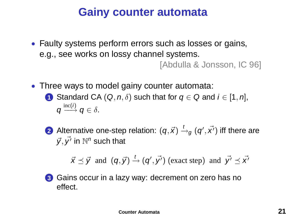# **Gainy counter automata**

• Faulty systems perform errors such as losses or gains, e.g., see works on lossy channel systems.

[Abdulla & Jonsson, IC 96]

- Three ways to model gainy counter automata:
	- **1** Standard CA  $(Q, n, \delta)$  such that for  $q \in Q$  and  $i \in [1, n]$ ,  $q \stackrel{\mathrm{inc}(i)}{\longrightarrow} q \in \delta.$
	- **2** Alternative one-step relation:  $(q, \vec{x}) \stackrel{t}{\rightarrow} _g (q', \vec{x'})$  iff there are  $\vec{y}, \vec{y'}$  in  $\mathbb{N}^n$  such that

$$
\vec{x} \preceq \vec{y}
$$
 and  $(q, \vec{y}) \stackrel{t}{\rightarrow} (q', \vec{y'})$  (exact step) and  $\vec{y'} \preceq \vec{x'}$ 



**3** Gains occur in a lazy way: decrement on zero has no effect.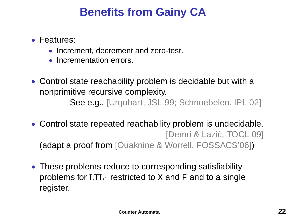# **Benefits from Gainy CA**

- Features:
	- Increment, decrement and zero-test.
	- Incrementation errors.
- Control state reachability problem is decidable but with a nonprimitive recursive complexity. See e.g., [Urquhart, JSL 99; Schnoebelen, IPL 02]
- Control state repeated reachability problem is undecidable. [Demri & Lazić, TOCL 09] (adapt a proof from [Ouaknine & Worrell, FOSSACS'06])
- These problems reduce to corresponding satisfiability problems for  $\mathrm{LTL}^{\downarrow}$  restricted to  $\mathrm{x}$  and  $\mathrm{F}$  and to a single register.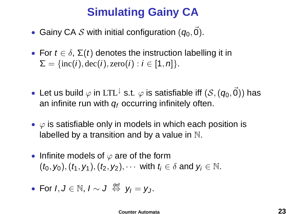# **Simulating Gainy CA**

- Gainy CA  $S$  with initial configuration  $(q_0, \vec{0})$ .
- For  $t \in \delta$ ,  $\Sigma(t)$  denotes the instruction labelling it in  $\Sigma = \{inc(i), dec(i), zero(i) : i \in [1, n]\}.$
- Let us build  $\varphi$  in LTL<sup> $\downarrow$ </sup> s.t.  $\varphi$  is satisfiable iff  $(\mathcal{S}, (q_0, \vec{0}))$  has an infinite run with  $q_f$  occurring infinitely often.
- $\varphi$  is satisfiable only in models in which each position is labelled by a transition and by a value in  $\mathbb N$ .
- Infinite models of  $\varphi$  are of the form  $(t_0, y_0), (t_1, y_1), (t_2, y_2), \cdots$  with  $t_i \in \delta$  and  $y_i \in \mathbb{N}$ .

• For 
$$
I, J \in \mathbb{N}
$$
,  $I \sim J \stackrel{\text{def}}{\Leftrightarrow} y_I = y_J$ .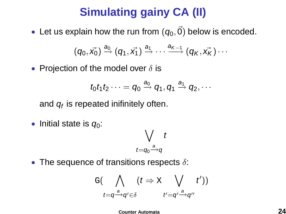# **Simulating gainy CA (II)**

• Let us explain how the run from  $(q_0, \vec{0})$  below is encoded.

$$
(q_0,\vec{x_0}) \stackrel{a_0}{\rightarrow} (q_1,\vec{x_1}) \stackrel{a_1}{\rightarrow} \cdots \stackrel{a_{K-1}}{\longrightarrow} (q_K,\vec{x_K}) \cdots
$$

• Projection of the model over  $\delta$  is

$$
t_0 t_1 t_2 \cdots = q_0 \stackrel{a_0}{\rightarrow} q_1, q_1 \stackrel{a_1}{\rightarrow} q_2, \cdots
$$

and  $q_f$  is repeated inifinitely often.

• Initial state is  $q_0$ :

$$
\bigvee_{t=q_0\stackrel{a}{\longrightarrow}q} t
$$

• The sequence of transitions respects  $\delta$ :

$$
G(\bigwedge_{t=q\stackrel{a}{\rightarrow}q'\in\delta}(t\Rightarrow \text{X}\bigvee_{t'=q'\stackrel{a}{\rightarrow}q''}t'))
$$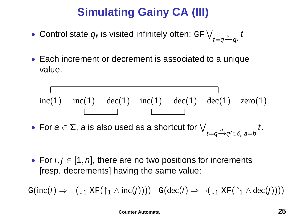# **Simulating Gainy CA (III)**

- $\bullet$  Control state  $q_{\mathit{f}}$  is visited infinitely often: GF  $\bigvee_{t=q\stackrel{a}{\longrightarrow}q_{\mathit{f}}}t$
- Each increment or decrement is associated to a unique value.

$$
rac{1}{\ln(c(1)) \cdot \ln(c(1))} \cdot \frac{1}{\ln(c(1)) \cdot \ln(c(1))} \cdot \frac{1}{\ln(c(1))} \cdot \frac{1}{\ln(c(1))} \cdot \frac{1}{\ln(c(1))} \cdot \frac{1}{\ln(c(1))} \cdot \frac{1}{\ln(c(1))} \cdot \frac{1}{\ln(c(1))} \cdot \frac{1}{\ln(c(1))} \cdot \frac{1}{\ln(c(1))} \cdot \frac{1}{\ln(c(1))} \cdot \frac{1}{\ln(c(1))} \cdot \frac{1}{\ln(c(1))} \cdot \frac{1}{\ln(c(1))} \cdot \frac{1}{\ln(c(1))} \cdot \frac{1}{\ln(c(1))} \cdot \frac{1}{\ln(c(1))} \cdot \frac{1}{\ln(c(1))} \cdot \frac{1}{\ln(c(1))} \cdot \frac{1}{\ln(c(1))} \cdot \frac{1}{\ln(c(1))} \cdot \frac{1}{\ln(c(1))} \cdot \frac{1}{\ln(c(1))} \cdot \frac{1}{\ln(c(1))} \cdot \frac{1}{\ln(c(1))} \cdot \frac{1}{\ln(c(1))} \cdot \frac{1}{\ln(c(1))} \cdot \frac{1}{\ln(c(1))} \cdot \frac{1}{\ln(c(1))} \cdot \frac{1}{\ln(c(1))} \cdot \frac{1}{\ln(c(1))} \cdot \frac{1}{\ln(c(1))} \cdot \frac{1}{\ln(c(1))} \cdot \frac{1}{\ln(c(1))} \cdot \frac{1}{\ln(c(1))} \cdot \frac{1}{\ln(c(1))} \cdot \frac{1}{\ln(c(1))} \cdot \frac{1}{\ln(c(1))} \cdot \frac{1}{\ln(c(1))} \cdot \frac{1}{\ln(c(1))} \cdot \frac{1}{\ln(c(1))} \cdot \frac{1}{\ln(c(1))} \cdot \frac{1}{\ln(c(1))} \cdot \frac{1}{\ln(c(1))} \cdot \frac{1}{\ln(c(1))} \cdot \frac{1}{\ln(c(1))} \cdot \frac{1}{\ln(c(1))} \cdot \frac{1}{\ln(c(1))} \cdot \frac{1}{\ln(c(1))} \cdot \frac{1}{\ln(c(1))} \cdot \frac{1}{\ln(c(1))} \cdot \frac{1}{\ln(c(1))} \cdot \frac{1}{\ln(c(1))} \cdot
$$

• For  $i, j \in [1, n]$ , there are no two positions for increments [resp. decrements] having the same value:

 $G(\text{inc}(i) \Rightarrow \neg(\downarrow_1 \text{XF}(\uparrow_1 \land \text{inc}(j)))) \quad G(\text{dec}(i) \Rightarrow \neg(\downarrow_1 \text{XF}(\uparrow_1 \land \text{dec}(j))))$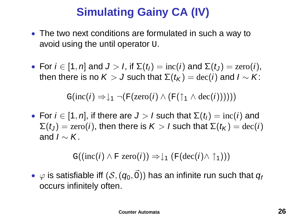# **Simulating Gainy CA (IV)**

- The two next conditions are formulated in such a way to avoid using the until operator U.
- For  $i \in [1, n]$  and  $J > I$ , if  $\Sigma(t_i) = \text{inc}(i)$  and  $\Sigma(t_i) = \text{zero}(i)$ , then there is no  $K > J$  such that  $\Sigma(t_K) = \text{dec}(i)$  and  $I \sim K$ :

$$
\mathbb{G}(\mathrm{inc}(i) \Rightarrow \downarrow_1 \neg(\mathbb{F}(zero(i) \land (\mathbb{F}(\uparrow_1 \land dec(i))))))
$$

• For  $i \in [1, n]$ , if there are  $J > l$  such that  $\Sigma(t_l) = \text{inc}(i)$  and  $\Sigma(t_j) = \text{zero}(i)$ , then there is  $K > l$  such that  $\Sigma(t_K) = \text{dec}(i)$ and  $I \sim K$ .

$$
\mathbb{G}((\mathrm{inc}(i) \wedge \mathrm{F}\ \mathrm{zero}(i)) \Rightarrow \downarrow_1 (\mathrm{F}(\mathrm{dec}(i) \wedge \uparrow_1)))
$$

 $\bullet \;\varphi$  is satisfiable iff  $(\mathcal{S}, (q_0, \vec{0}))$  has an infinite run such that  $q_i$ occurs infinitely often.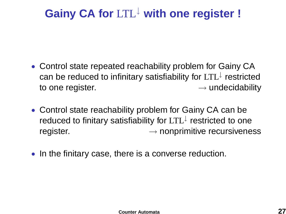# **Gainy CA for** LTL<sup>↓</sup> **with one register !**

- Control state repeated reachability problem for Gainy CA can be reduced to infinitary satisfiability for  $LTL^{\downarrow}$  restricted to one register.  $\rightarrow$  undecidability
- Control state reachability problem for Gainy CA can be reduced to finitary satisfiability for LTL↓ restricted to one register.  $\rightarrow$  nonprimitive recursiveness
- In the finitary case, there is a converse reduction.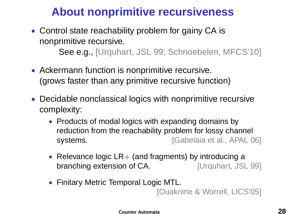# **About nonprimitive recursiveness**

- Control state reachability problem for gainy CA is nonprimitive recursive. See e.g., [Urquhart, JSL 99; Schnoebelen, MFCS'10]
- Ackermann function is nonprimitive recursive. (grows faster than any primitive recursive function)
- Decidable nonclassical logics with nonprimitive recursive complexity:
	- Products of modal logics with expanding domains by reduction from the reachability problem for lossy channel systems. **Example 20 I** Gabelaia et al., APAL 06]
	- Relevance logic  $LR+$  (and fragments) by introducing a branching extension of CA. [Urquhart, JSL 99]
	- Finitary Metric Temporal Logic MTL.

[Ouaknine & Worrell, LICS'05]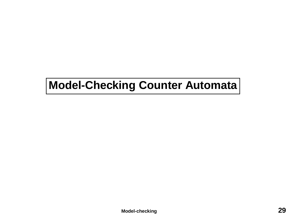# <span id="page-28-0"></span>**Model-Checking Counter Automata**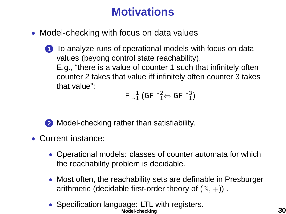# **Motivations**

- Model-checking with focus on data values
	- **1** To analyze runs of operational models with focus on data values (beyong control state reachability). E.g., "there is a value of counter 1 such that infinitely often counter 2 takes that value iff infinitely often counter 3 takes that value":

 $F \downarrow_1^1$  (GF  $\uparrow_1^2 \Leftrightarrow$  GF  $\uparrow_1^3$ )

**2** Model-checking rather than satisfiability.

- Current instance:
	- Operational models: classes of counter automata for which the reachability problem is decidable.
	- Most often, the reachability sets are definable in Presburger arithmetic (decidable first-order theory of  $(N, +)$ ).
	- Specification language: LTL with registers. **[Model-checking](#page-28-0) 30**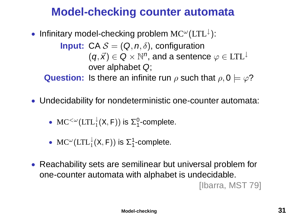## **Model-checking counter automata**

- Infinitary model-checking problem  $MC^{\omega}(LTL^{\downarrow})$ : **Input:** CA  $S = (Q, n, \delta)$ , configuration  $(\boldsymbol{q},\vec{\boldsymbol{\mathsf{x}}})\in\mathsf{Q}\times\mathbb{N}^n$ , and a sentence  $\varphi\in\mathrm{LTL}^{\downarrow}$ over alphabet Q; **Question:** Is there an infinite run  $\rho$  such that  $\rho, 0 \models \varphi$ ?
- Undecidability for nondeterministic one-counter automata:
	- $MC^{<\omega}(\mathrm{LTL}_1^{\downarrow}(\mathbf{X}, \mathbf{F}))$  is  $\Sigma_1^0$ -complete.
	- MC<sup> $\omega$ </sup>(LTL<sup>1</sup><sub>1</sub>(x, F)) is  $\Sigma_1^1$ -complete.
- Reachability sets are semilinear but universal problem for one-counter automata with alphabet is undecidable. [Ibarra, MST 79]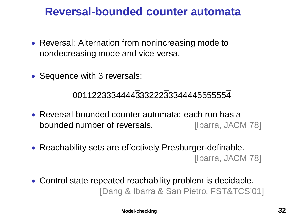## **Reversal-bounded counter automata**

- Reversal: Alternation from nonincreasing mode to nondecreasing mode and vice-versa.
- Sequence with 3 reversals:

### 001122333444433322233344445555554

- Reversal-bounded counter automata: each run has a bounded number of reversals. **Illearna**, JACM 781
- Reachability sets are effectively Presburger-definable. [Ibarra, JACM 78]
- Control state repeated reachability problem is decidable. [Dang & Ibarra & San Pietro, FST&TCS'01]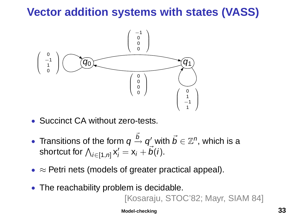# **Vector addition systems with states (VASS)**



- Succinct CA without zero-tests.
- Transitions of the form  $q \stackrel{\vec{b}}{\rightarrow} q'$  with  $\vec{b} \in \mathbb{Z}^n$ , which is a shortcut for  $\bigwedge_{i\in\llbracket 1,n\rrbracket}\mathsf{x}'_i=\mathsf{x}_i+\vec{b}(i).$
- $\approx$  Petri nets (models of greater practical appeal).
- The reachability problem is decidable.

[Kosaraju, STOC'82; Mayr, SIAM 84]

**[Model-checking](#page-28-0) 33**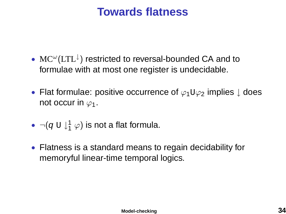## **Towards flatness**

- $MC^{\omega}(LTL^{\downarrow})$  restricted to reversal-bounded CA and to formulae with at most one register is undecidable.
- Flat formulae: positive occurrence of  $\varphi_1 \cup \varphi_2$  implies  $\downarrow$  does not occur in  $\varphi_1$ .
- $\bullet \ \neg (q \mathrel{\cup} \downarrow^1_1 \varphi)$  is not a flat formula.
- Flatness is a standard means to regain decidability for memoryful linear-time temporal logics.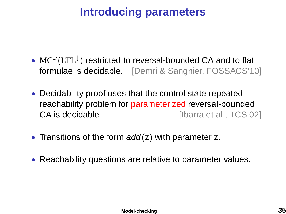# **Introducing parameters**

- $MC^{\omega}(LTL^{\downarrow})$  restricted to reversal-bounded CA and to flat formulae is decidable. [Demri & Sangnier, FOSSACS'10]
- Decidability proof uses that the control state repeated reachability problem for parameterized reversal-bounded CA is decidable. **CA** is decidable.
- Transitions of the form  $add(z)$  with parameter z.
- Reachability questions are relative to parameter values.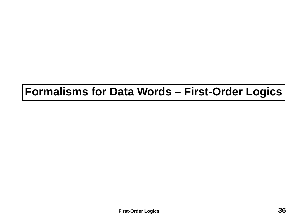# <span id="page-35-0"></span>**Formalisms for Data Words – First-Order Logics**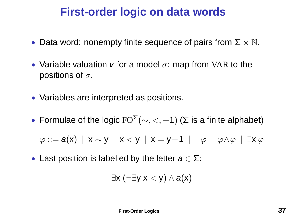## **First-order logic on data words**

- Data word: nonempty finite sequence of pairs from  $\Sigma \times \mathbb{N}$ .
- Variable valuation v for a model  $\sigma$ : map from VAR to the positions of  $\sigma$ .
- Variables are interpreted as positions.
- Formulae of the logic  $FO^{\Sigma}(\sim, <, +1)$  ( $\Sigma$  is a finite alphabet)

 $\varphi ::= a(x) | x \sim y | x < y | x = y+1 | \neg \varphi | \varphi \wedge \varphi | \exists x \varphi$ 

• Last position is labelled by the letter  $a \in \Sigma$ :

$$
\exists x\ (\neg \exists y\ x < y) \land a(x)
$$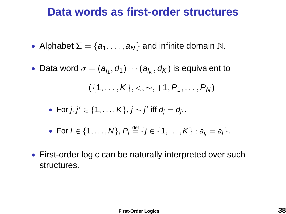## **Data words as first-order structures**

- Alphabet  $\Sigma = \{a_1, \ldots, a_N\}$  and infinite domain  $\mathbb N$ .
- $\bullet\,$  Data word  $\sigma=(a_{i_1},d_1)\cdots(a_{i_K},d_K)$  is equivalent to

$$
(\{1,\ldots,K\},<,\sim,+1,P_1,\ldots,P_N)
$$

• For 
$$
j, j' \in \{1, \ldots, K\}
$$
,  $j \sim j'$  iff  $d_j = d_{j'}$ .

• For 
$$
l \in \{1, ..., N\}
$$
,  $P_l \stackrel{\text{def}}{=} \{j \in \{1, ..., K\} : a_{l_j} = a_l\}$ .

• First-order logic can be naturally interpreted over such structures.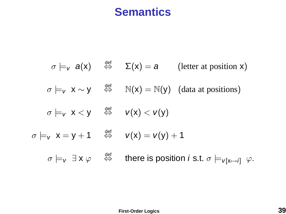# **Semantics**

$$
\sigma \models_{v} a(x) \quad \stackrel{\text{def}}{\Leftrightarrow} \quad \Sigma(x) = a \qquad \text{(letter at position x)}
$$
\n
$$
\sigma \models_{v} x \sim y \quad \stackrel{\text{def}}{\Leftrightarrow} \quad \mathbb{N}(x) = \mathbb{N}(y) \quad \text{(data at positions)}
$$
\n
$$
\sigma \models_{v} x < y \quad \stackrel{\text{def}}{\Leftrightarrow} \quad v(x) < v(y)
$$
\n
$$
\sigma \models_{v} x = y + 1 \quad \stackrel{\text{def}}{\Leftrightarrow} \quad v(x) = v(y) + 1
$$
\n
$$
\sigma \models_{v} \exists x \; \varphi \quad \stackrel{\text{def}}{\Leftrightarrow} \quad \text{there is position } i \text{ s.t. } \sigma \models_{v[x \mapsto i]} \varphi.
$$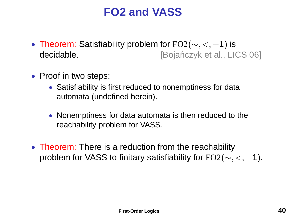# **FO2 and VASS**

- Theorem: Satisfiability problem for  $FO2(\sim, <, +1)$  is decidable. **[Bojanczyk et al., LICS 06] decidable.**
- Proof in two steps:
	- Satisfiability is first reduced to nonemptiness for data automata (undefined herein).
	- Nonemptiness for data automata is then reduced to the reachability problem for VASS.
- Theorem: There is a reduction from the reachability problem for VASS to finitary satisfiability for  $FO2(\sim, <, +1)$ .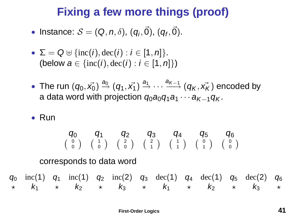## **Fixing a few more things (proof)**

- Instance:  $\mathcal{S} = (\mathsf{Q}, n, \delta), (q_i, \vec{0}), (q_f, \vec{0}).$
- $\Sigma = Q \oplus \{ \text{inc}(i), \text{dec}(i) : i \in [1, n] \}.$ (below  $a \in \{inc(i), dec(i) : i \in [1, n]\}$ )
- $\bullet\,$  The run  $(q_0,\vec{x_0})\stackrel{a_0}{\rightarrow}(q_1,\vec{x_1})\stackrel{a_1}{\rightarrow}\cdots\stackrel{a_{K-1}}{\longrightarrow}(q_K,\vec{x_K})$  encoded by a data word with projection  $q_0q_0q_1q_1 \cdots q_{K-1}q_K$ .
- Run

$$
\begin{array}{cccccc}\boldsymbol{q_0} & \boldsymbol{q_1} & \boldsymbol{q_2} & \boldsymbol{q_3} & \boldsymbol{q_4} & \boldsymbol{q_5} & \boldsymbol{q_6} \\ \left(\begin{array}{c} 0 \\ 0 \end{array}\right) & \left(\begin{array}{c} 1 \\ 0 \end{array}\right) & \left(\begin{array}{c} 2 \\ 0 \end{array}\right) & \left(\begin{array}{c} 2 \\ 1 \end{array}\right) & \left(\begin{array}{c} 1 \\ 1 \end{array}\right) & \left(\begin{array}{c} 1 \\ 1 \end{array}\right) & \left(\begin{array}{c} 0 \\ 1 \end{array}\right) & \left(\begin{array}{c} 0 \\ 0 \end{array}\right)\end{array}
$$

corresponds to data word

$$
q_0
$$
 inc(1)  $q_1$  inc(1)  $q_2$  inc(2)  $q_3$  dec(1)  $q_4$  dec(1)  $q_5$  dec(2)  $q_6$   
\n $\star$   $k_1$   $\star$   $k_2$   $\star$   $k_3$   $\star$   $k_1$   $\star$   $k_2$   $\star$   $k_3$   $\star$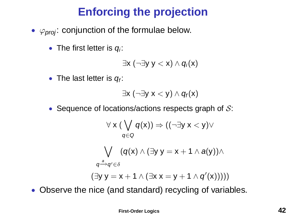# **Enforcing the projection**

- $\varphi_{nmi}$ : conjunction of the formulae below.
	- The first letter is  $q_i$ :

$$
\exists x (\neg \exists y \ y < x) \land q_i(x)
$$

• The last letter is  $q_f$ :

$$
\exists x\ (\neg \exists y\ x < y) \land q_f(x)
$$

• Sequence of locations/actions respects graph of  $S$ :

$$
\forall x (\bigvee_{q \in Q} q(x)) \Rightarrow ((\neg \exists y \ x < y) \vee
$$
\n
$$
\bigvee_{q \in Q} (q(x) \land (\exists y \ y = x + 1 \land a(y)) \land
$$
\n
$$
\bigvee_{q \stackrel{a}{\rightarrow} q' \in \delta} (\exists y \ y = x + 1 \land (\exists x \ x = y + 1 \land q'(x))))
$$

• Observe the nice (and standard) recycling of variables.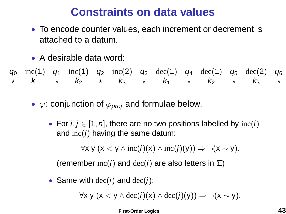# **Constraints on data values**

- To encode counter values, each increment or decrement is attached to a datum.
- A desirable data word:

 $q_0$  inc(1)  $q_1$  inc(1)  $q_2$  inc(2)  $q_3$  dec(1)  $q_4$  dec(1)  $q_5$  dec(2)  $q_6$  $\star$  k<sub>1</sub>  $\star$  k<sub>2</sub>  $\star$  k<sub>3</sub>  $\star$  k<sub>1</sub>  $\star$  k<sub>2</sub>  $\star$  k<sub>3</sub>  $\star$ 

- $\varphi$ : conjunction of  $\varphi_{\text{proj}}$  and formulae below.
	- For  $i, j \in [1, n]$ , there are no two positions labelled by  $inc(i)$ and  $inc(i)$  having the same datum:

 $\forall x \vee (x < y \wedge inc(i)(x) \wedge inc(j)(y)) \Rightarrow \neg(x \sim y).$ 

(remember  $inc(i)$  and  $dec(i)$  are also letters in  $\Sigma$ )

• Same with  $dec(i)$  and  $dec(i)$ :

 $\forall x \vee (x \leq y \land \text{dec}(i)(x) \land \text{dec}(i)(y)) \Rightarrow \neg(x \sim y).$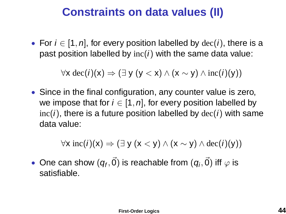## **Constraints on data values (II)**

• For  $i \in [1, n]$ , for every position labelled by  $dec(i)$ , there is a past position labelled by  $inc(i)$  with the same data value:

 $\forall$ x dec(i)(x)  $\Rightarrow$  ( $\exists$  y (y < x)  $\land$  (x  $\sim$  y)  $\land$  inc(i)(y))

• Since in the final configuration, any counter value is zero, we impose that for  $i \in [1, n]$ , for every position labelled by  $inc(i)$ , there is a future position labelled by  $dec(i)$  with same data value:

 $\forall x \text{ inc}(i)(x) \Rightarrow (\exists y (x < y) \land (x \sim y) \land \text{dec}(i)(y))$ 

 $\bullet\,$  One can show  $(q_f,\vec{0})$  is reachable from  $(q_i,\vec{0})$  iff  $\varphi$  is satisfiable.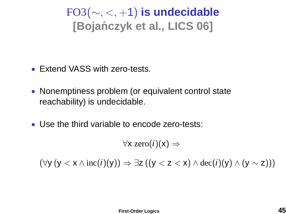# FO3(∼, <, +1) **is undecidable [Bojanczyk et al., LICS 06] ´**

- Extend VASS with zero-tests.
- Nonemptiness problem (or equivalent control state reachability) is undecidable.
- Use the third variable to encode zero-tests:

 $\forall$ x zero $(i)(x) \Rightarrow$ 

 $(\forall y (y < x \land inc(i)(y)) \Rightarrow \exists z ((y < z < x) \land dec(i)(y) \land (y \sim z)))$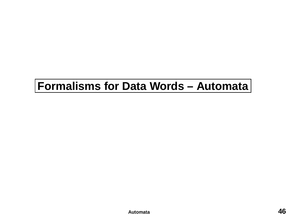# <span id="page-45-0"></span>**Formalisms for Data Words – Automata**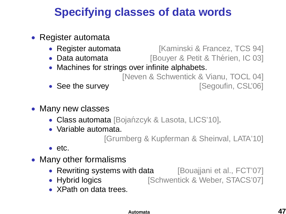# **Specifying classes of data words**

- Register automata
	- Register automata [Kaminski & Francez, TCS 94]
	- Data automata **[Bouyer & Petit & Thérien, IC 03]**
	- Machines for strings over infinite alphabets.

[Neven & Schwentick & Vianu, TOCL 04] • See the survey **but all in the survey** and segoufin, CSL'06]

- 
- Many new classes
	- Class automata [Bojańzcyk & Lasota, LICS'10].
	- Variable automata.

[Grumberg & Kupferman & Sheinval, LATA'10]

- etc.
- Many other formalisms
	- Rewriting systems with data [Bouajjani et al., FCT'07]
	- Hybrid logics **[Schwentick & Weber, STACS'07]**
	- XPath on data trees.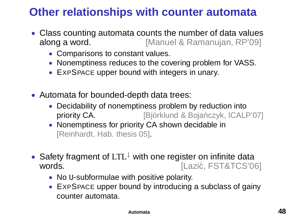# **Other relationships with counter automata**

- Class counting automata counts the number of data values along a word. [Manuel & Ramanujan, RP'09]
	- Comparisons to constant values.
	- Nonemptiness reduces to the covering problem for VASS.
	- EXPSPACE upper bound with integers in unary.
- Automata for bounded-depth data trees:
	- Decidability of nonemptiness problem by reduction into priority CA. **[Björklund & Bojańczyk, ICALP'07]**
	- Nonemptiness for priority CA shown decidable in [Reinhardt, Hab. thesis 05].
- Safety fragment of LTL<sup>↓</sup> with one register on infinite data words. The contract of the contract of the contract of the contract of the contract of the contract of the contract of the contract of the contract of the contract of the contract of the contract of the contract of the con
	- No **U-subformulae** with positive polarity.
	- EXPSPACE upper bound by introducing a subclass of gainy counter automata.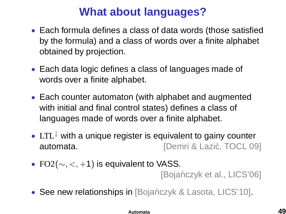# **What about languages?**

- Each formula defines a class of data words (those satisfied by the formula) and a class of words over a finite alphabet obtained by projection.
- Each data logic defines a class of languages made of words over a finite alphabet.
- Each counter automaton (with alphabet and augmented with initial and final control states) defines a class of languages made of words over a finite alphabet.
- LTL<sup>↓</sup> with a unique register is equivalent to gainy counter automata. **International Contract Contract Contract Contract Contract Contract Contract Contract Contract Contract Contract Contract Contract Contract Contract Contract Contract Contract Contract Contract Contract Contract**
- FO2( $\sim$ , <, +1) is equivalent to VASS.

**IBojańczyk et al., LICS'061** 

• See new relationships in [Bojańczyk & Lasota, LICS'10].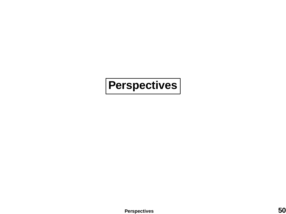# <span id="page-49-0"></span>**Perspectives**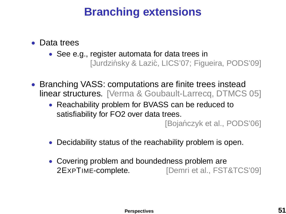# **Branching extensions**

- Data trees
	- See e.g., register automata for data trees in [Jurdzińsky & Lazić, LICS'07; Figueira, PODS'09]
- Branching VASS: computations are finite trees instead linear structures. [Verma & Goubault-Larrecq, DTMCS 05]
	- Reachability problem for BVASS can be reduced to satisfiability for FO2 over data trees.

[Bojańczyk et al., PODS'06]

- Decidability status of the reachability problem is open.
- Covering problem and boundedness problem are 2EXPTIME-complete. [Demri et al., FST&TCS'09]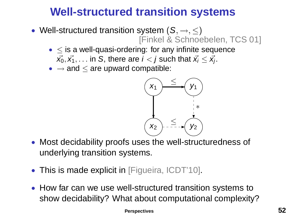# **Well-structured transition systems**

- Well-structured transition system  $(S, \rightarrow, \leq)$ [Finkel & Schnoebelen, TCS 01]
	- $\bullet \leq$  is a well-quasi-ordering: for any infinite sequence  $\vec{\mathsf{x}_0}, \vec{\mathsf{x}_1}, \dots$  in S, there are  $i < j$  such that  $\vec{\mathsf{x}_i} \leq \vec{\mathsf{x}_j}.$
	- $\bullet \rightarrow$  and  $\leq$  are upward compatible:



- Most decidability proofs uses the well-structuredness of underlying transition systems.
- This is made explicit in [Figueira, ICDT'10].
- How far can we use well-structured transition systems to show decidability? What about computational complexity?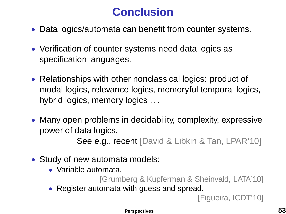# **Conclusion**

- Data logics/automata can benefit from counter systems.
- Verification of counter systems need data logics as specification languages.
- Relationships with other nonclassical logics: product of modal logics, relevance logics, memoryful temporal logics, hybrid logics, memory logics . . .
- Many open problems in decidability, complexity, expressive power of data logics.

See e.g., recent [David & Libkin & Tan, LPAR'10]

- Study of new automata models:
	- Variable automata.

[Grumberg & Kupferman & Sheinvald, LATA'10]

• Register automata with guess and spread.

[Figueira, ICDT'10]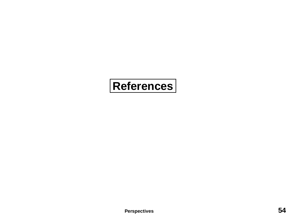# **References**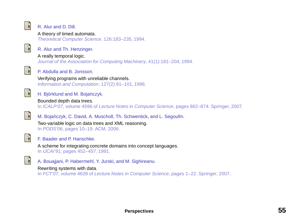

### R. Alur and D. Dill.

### A theory of timed automata.

Theoretical Computer Science, 126:183–235, 1994.



### R. Alur and Th. Henzinger.

A really temporal logic.

Journal of the Association for Computing Machinery, 41(1):181–204, 1994.



### P. Abdulla and B. Jonsson.

Verifying programs with unreliable channels. Information and Computation, 127(2):91–101, 1996.



### H. Björklund and M. Bojańczyk.

#### Bounded depth data trees.

In ICALP'07, volume 4596 of Lecture Notes in Computer Science, pages 862–874. Springer, 2007.



M. Bojańczyk, C. David, A. Muscholl, Th. Schwentick, and L. Segoufin.

Two-variable logic on data trees and XML reasoning. In PODS'06, pages 10–19. ACM, 2006.



### F. Baader and P. Hanschke.

A scheme for integrating concrete domains into concept languages. In IJCAI'91, pages 452–457, 1991.

A. Bouajiani, P. Habermehl, Y. Jurski, and M. Sighireanu.

### Rewriting systems with data.

In FCT'07, volume 4639 of Lecture Notes in Computer Science, pages 1–22. Springer, 2007.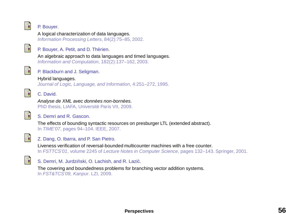

### P. Bouyer.

A logical characterization of data languages. Information Processing Letters, 84(2):75–85, 2002.



### P. Bouyer, A. Petit, and D. Thérien.

An algebraic approach to data languages and timed languages. Information and Computation, 182(2):137–162, 2003.



P. Blackburn and J. Seligman.

### Hybrid languages.

Journal of Logic, Language, and Information, 4:251–272, 1995.



螶

### C. David.

Analyse de XML avec données non-bornées. PhD thesis, LIAFA, Université Paris VII, 2009.



The effects of bounding syntactic resources on presburger LTL (extended abstract). In TIME'07, pages 94–104. IEEE, 2007.



### Z. Dang, O. Ibarra, and P. San Pietro.

Liveness verification of reversal-bounded multicounter machines with a free counter. In FSTTCS'01, volume 2245 of Lecture Notes in Computer Science, pages 132–143. Springer, 2001.

螶

### S. Demri, M. Jurdziński, O. Lachish, and R. Lazić.

The covering and boundedness problems for branching vector addition systems. In FST&TCS'09, Kanpur. LZI, 2009.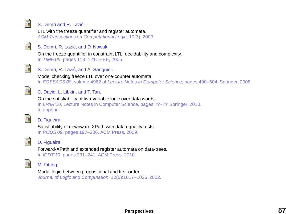

### S. Demri and R. Lazić.

LTL with the freeze quantifier and register automata. ACM Transactions on Computational Logic, 10(3), 2009.



### S. Demri, R. Lazić, and D. Nowak.

On the freeze quantifier in constraint LTL: decidability and complexity. In TIME'05, pages 113–121. IEEE, 2005.



### S. Demri, R. Lazić, and A. Sangnier.

Model checking freeze LTL over one-counter automata. In FOSSACS'08, volume 4962 of Lecture Notes in Computer Science, pages 490–504. Springer, 2008.



### C. David, L. Libkin, and T. Tan.

On the satisfiability of two-variable logic over data words. In LPAR'10, Lecture Notes in Computer Science, pages ??–?? Springer, 2010. to appear.



D. Figueira.

Satisfiability of downward XPath with data equality tests. In PODS'09, pages 197–206. ACM Press, 2009.



### D. Figueira.

Forward-XPath and extended register automata on data-trees. In ICDT'10, pages 231–241. ACM Press, 2010.



### M. Fitting.

Modal logic between propositional and first-order. Journal of Logic and Computation, 12(6):1017–1026, 2002.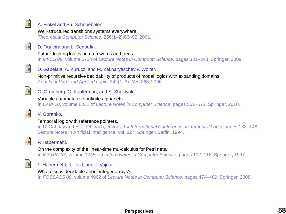

### A. Finkel and Ph. Schnoebelen.

Well-structured transitions systems everywhere! Theoretical Computer Science, 256(1–2):63–92, 2001.



D. Figueira and L. Segoufin.

Future-looking logics on data words and trees.

In MFCS'09, volume 5734 of Lecture Notes in Computer Science, pages 331–343. Springer, 2009.



D. Gabelaia, A. Kurucz, and M. Zakharyaschev F. Wolter.

Non-primitive recursive decidability of products of modal logics with expanding domains. Annals of Pure and Applied Logic, 142(1–3):245–268, 2006.



O. Grumberg, O. Kupferman, and S. Sheinvald.

Variable automata over infinite alphabets.

In LATA'10, volume 6031 of Lecture Notes in Computer Science, pages 561–572. Springer, 2010.



### V. Goranko.

### Temporal logic with reference pointers.

In D. Gabbay and H. J. Ohlbach, editors, 1st International Conference on Temporal Logic, pages 133–148. Lecture Notes in Artificial Intelligence, Vol. 827. Springer, Berlin, 1994.



### P. Habermehl.

On the complexity of the linear-time mu-calculus for Petri nets. In ICATPN'97, volume 1248 of Lecture Notes in Computer Science, pages 102–116. Springer, 1997.



### P. Habermehl, R. Iosif, and T. Vojnar.

What else is decidable about integer arrays?

In FOSSACS'08, volume 4962 of Lecture Notes in Computer Science, pages 474–489. Springer, 2008.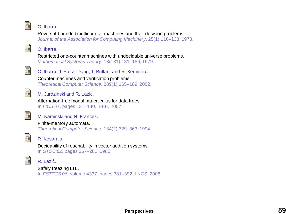

#### O. Ibarra.

Reversal-bounded multicounter machines and their decision problems. Journal of the Association for Computing Machinery, 25(1):116–133, 1978.



### O. Ibarra.

Restricted one-counter machines with undecidable universe problems. Mathematical Systems Theory, 13(181):181–186, 1979.



O. Ibarra, J. Su, Z. Dang, T. Bultan, and R. Kemmerer. Counter machines and verification problems.

Theoretical Computer Science, 289(1):165–189, 2002.



M. Jurdzinski and R. Lazić.

Alternation-free modal mu-calculus for data trees. In LICS'07, pages 131–140. IEEE, 2007.



### M. Kaminski and N. Francez.

Finite-memory automata. Theoretical Computer Science, 134(2):329–363, 1994.



R. Kosaraju.

Decidability of reachability in vector addition systems. In STOC'82, pages 267–281, 1982.



### R. Lazic.´

Safely freezing LTL. In FSTTCS'06, volume 4337, pages 381–392. LNCS, 2006.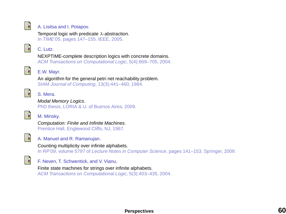

A. Lisitsa and I. Potapov.

Temporal logic with predicate  $\lambda$ -abstraction. In TIME'05, pages 147–155. IEEE, 2005.



C. Lutz.

NEXPTIME-complete description logics with concrete domains.

ACM Transactions on Computational Logic, 5(4):669–705, 2004.



E.W. Mayr.

An algorithm for the general petri net reachability problem. SIAM Journal of Computing, 13(3):441–460, 1984.



### S. Mera.

Modal Memory Logics.

PhD thesis, LORIA & U. of Buenos Aires, 2009.



M. Minsky.

Computation: Finite and Infinite Machines. Prentice Hall, Englewood Cliffs, NJ, 1967.



A. Manuel and R. Ramanujan.

Counting multiplicity over infinite alphabets.

In RP'09, volume 5797 of Lecture Notes in Computer Science, pages 141–153. Springer, 2009.



F. Neven, T. Schwentick, and V. Vianu.

Finite state machines for strings over infinite alphabets.

ACM Transactions on Computational Logic, 5(3):403–435, 2004.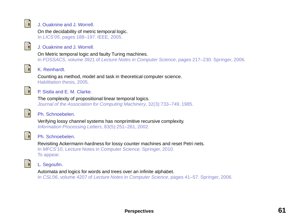

### J. Ouaknine and J. Worrell.

On the decidability of metric temporal logic. In LICS'05, pages 188–197. IEEE, 2005.



### J. Ouaknine and J. Worrell.

### On Metric temporal logic and faulty Turing machines.

In FOSSACS, volume 3921 of Lecture Notes in Computer Science, pages 217–230. Springer, 2006.



### K. Reinhardt.

Counting as method, model and task in theoretical computer science. Habilitation thesis, 2005.



### P. Sistla and E. M. Clarke.

The complexity of propositional linear temporal logics. Journal of the Association for Computing Machinery, 32(3):733–749, 1985.



### Ph. Schnoebelen.

Verifying lossy channel systems has nonprimitive recursive complexity. Information Processing Letters, 83(5):251–261, 2002.



### Ph. Schnoebelen.

Revisiting Ackermann-hardness for lossy counter machines and reset Petri nets. In MFCS'10, Lecture Notes in Computer Science. Springer, 2010. To appear.



### L. Segoufin.

Automata and logics for words and trees over an infinite alphabet.

In CSL'06, volume 4207 of Lecture Notes in Computer Science, pages 41–57. Springer, 2006.